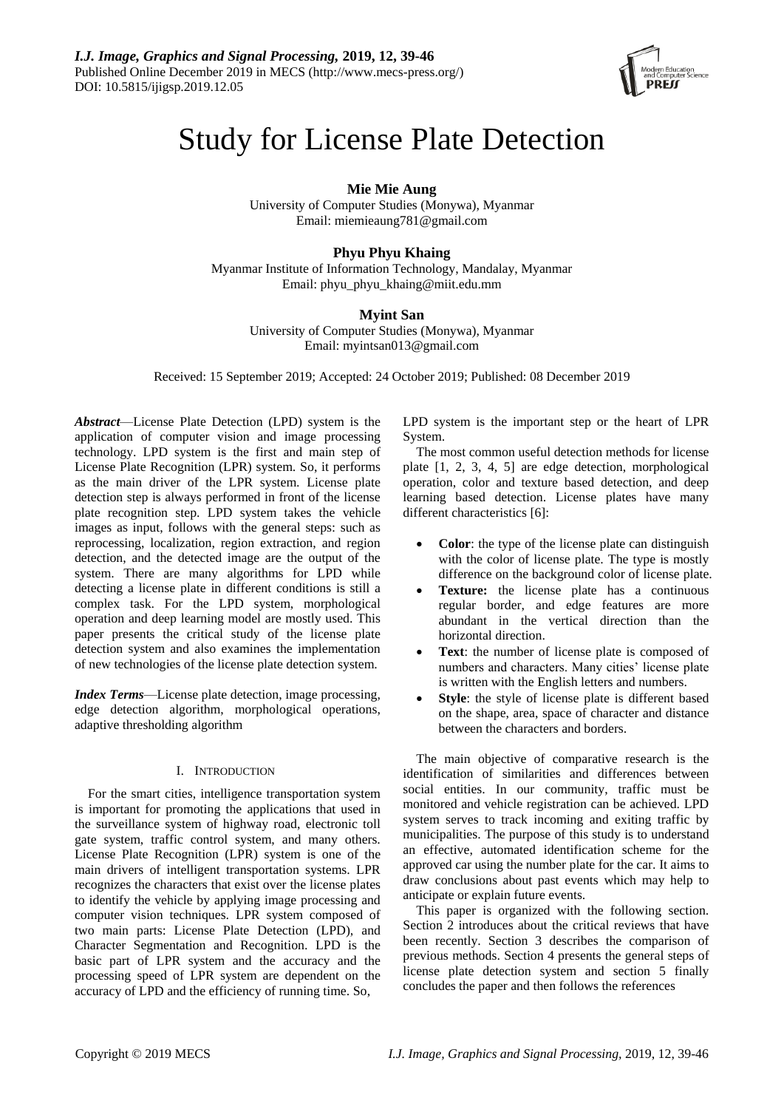

# Study for License Plate Detection

**Mie Mie Aung**

University of Computer Studies (Monywa), Myanmar Email: miemieaung781@gmail.com

# **Phyu Phyu Khaing**

Myanmar Institute of Information Technology, Mandalay, Myanmar Email: [phyu\\_phyu\\_khaing@miit.edu.mm](mailto:phyu_phyu_khaing@miit.edu.mm)

# **Myint San**

University of Computer Studies (Monywa), Myanmar Email: myintsan013@gmail.com

Received: 15 September 2019; Accepted: 24 October 2019; Published: 08 December 2019

*Abstract*—License Plate Detection (LPD) system is the application of computer vision and image processing technology. LPD system is the first and main step of License Plate Recognition (LPR) system. So, it performs as the main driver of the LPR system. License plate detection step is always performed in front of the license plate recognition step. LPD system takes the vehicle images as input, follows with the general steps: such as reprocessing, localization, region extraction, and region detection, and the detected image are the output of the system. There are many algorithms for LPD while detecting a license plate in different conditions is still a complex task. For the LPD system, morphological operation and deep learning model are mostly used. This paper presents the critical study of the license plate detection system and also examines the implementation of new technologies of the license plate detection system.

*Index Terms*—License plate detection, image processing, edge detection algorithm, morphological operations, adaptive thresholding algorithm

## I. INTRODUCTION

For the smart cities, intelligence transportation system is important for promoting the applications that used in the surveillance system of highway road, electronic toll gate system, traffic control system, and many others. License Plate Recognition (LPR) system is one of the main drivers of intelligent transportation systems. LPR recognizes the characters that exist over the license plates to identify the vehicle by applying image processing and computer vision techniques. LPR system composed of two main parts: License Plate Detection (LPD), and Character Segmentation and Recognition. LPD is the basic part of LPR system and the accuracy and the processing speed of LPR system are dependent on the accuracy of LPD and the efficiency of running time. So,

LPD system is the important step or the heart of LPR **System** 

The most common useful detection methods for license plate [1, 2, 3, 4, 5] are edge detection, morphological operation, color and texture based detection, and deep learning based detection. License plates have many different characteristics [6]:

- **Color**: the type of the license plate can distinguish with the color of license plate. The type is mostly difference on the background color of license plate.
- **Texture:** the license plate has a continuous regular border, and edge features are more abundant in the vertical direction than the horizontal direction.
- **Text**: the number of license plate is composed of numbers and characters. Many cities' license plate is written with the English letters and numbers.
- **Style**: the style of license plate is different based on the shape, area, space of character and distance between the characters and borders.

The main objective of comparative research is the identification of similarities and differences between social entities. In our community, traffic must be monitored and vehicle registration can be achieved. LPD system serves to track incoming and exiting traffic by municipalities. The purpose of this study is to understand an effective, automated identification scheme for the approved car using the number plate for the car. It aims to draw conclusions about past events which may help to anticipate or explain future events.

This paper is organized with the following section. Section 2 introduces about the critical reviews that have been recently. Section 3 describes the comparison of previous methods. Section 4 presents the general steps of license plate detection system and section 5 finally concludes the paper and then follows the references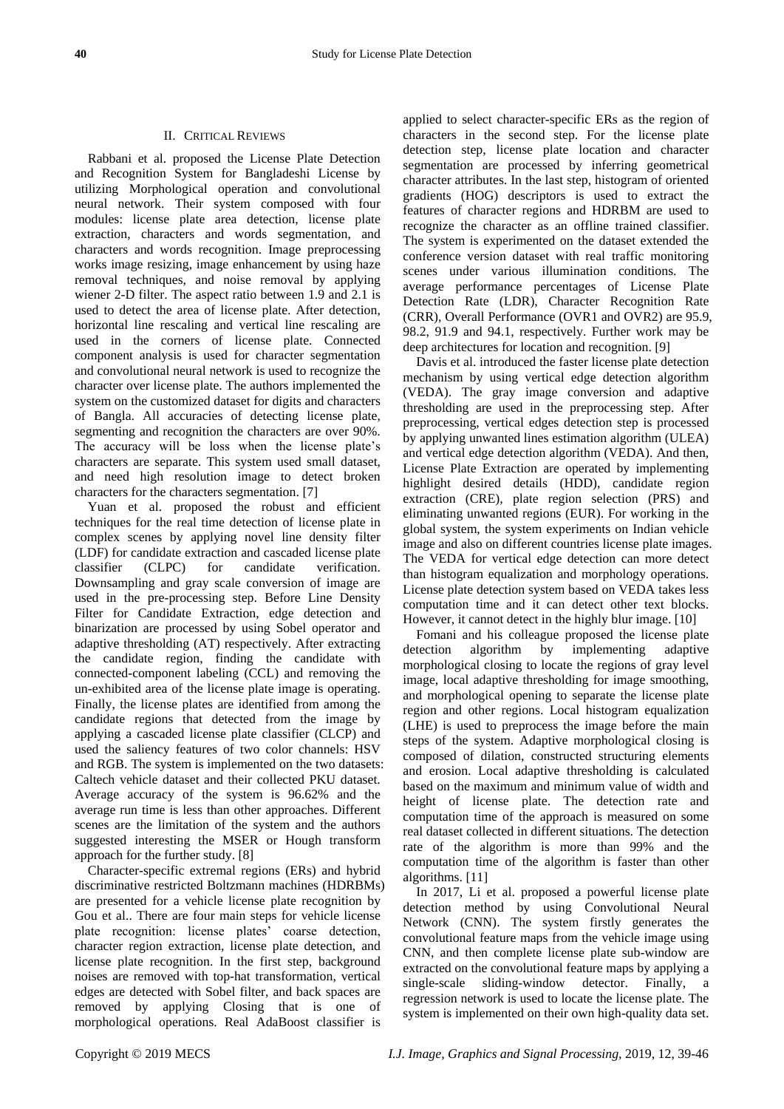#### II. CRITICAL REVIEWS

Rabbani et al. proposed the License Plate Detection and Recognition System for Bangladeshi License by utilizing Morphological operation and convolutional neural network. Their system composed with four modules: license plate area detection, license plate extraction, characters and words segmentation, and characters and words recognition. Image preprocessing works image resizing, image enhancement by using haze removal techniques, and noise removal by applying wiener 2-D filter. The aspect ratio between 1.9 and 2.1 is used to detect the area of license plate. After detection, horizontal line rescaling and vertical line rescaling are used in the corners of license plate. Connected component analysis is used for character segmentation and convolutional neural network is used to recognize the character over license plate. The authors implemented the system on the customized dataset for digits and characters of Bangla. All accuracies of detecting license plate, segmenting and recognition the characters are over 90%. The accuracy will be loss when the license plate's characters are separate. This system used small dataset, and need high resolution image to detect broken characters for the characters segmentation. [7]

Yuan et al. proposed the robust and efficient techniques for the real time detection of license plate in complex scenes by applying novel line density filter (LDF) for candidate extraction and cascaded license plate classifier (CLPC) for candidate verification. Downsampling and gray scale conversion of image are used in the pre-processing step. Before Line Density Filter for Candidate Extraction, edge detection and binarization are processed by using Sobel operator and adaptive thresholding (AT) respectively. After extracting the candidate region, finding the candidate with connected-component labeling (CCL) and removing the un-exhibited area of the license plate image is operating. Finally, the license plates are identified from among the candidate regions that detected from the image by applying a cascaded license plate classifier (CLCP) and used the saliency features of two color channels: HSV and RGB. The system is implemented on the two datasets: Caltech vehicle dataset and their collected PKU dataset. Average accuracy of the system is 96.62% and the average run time is less than other approaches. Different scenes are the limitation of the system and the authors suggested interesting the MSER or Hough transform approach for the further study. [8]

Character-specific extremal regions (ERs) and hybrid discriminative restricted Boltzmann machines (HDRBMs) are presented for a vehicle license plate recognition by Gou et al.. There are four main steps for vehicle license plate recognition: license plates' coarse detection, character region extraction, license plate detection, and license plate recognition. In the first step, background noises are removed with top-hat transformation, vertical edges are detected with Sobel filter, and back spaces are removed by applying Closing that is one of morphological operations. Real AdaBoost classifier is

applied to select character-specific ERs as the region of characters in the second step. For the license plate detection step, license plate location and character segmentation are processed by inferring geometrical character attributes. In the last step, histogram of oriented gradients (HOG) descriptors is used to extract the features of character regions and HDRBM are used to recognize the character as an offline trained classifier. The system is experimented on the dataset extended the conference version dataset with real traffic monitoring scenes under various illumination conditions. The average performance percentages of License Plate Detection Rate (LDR), Character Recognition Rate (CRR), Overall Performance (OVR1 and OVR2) are 95.9, 98.2, 91.9 and 94.1, respectively. Further work may be deep architectures for location and recognition. [9]

Davis et al. introduced the faster license plate detection mechanism by using vertical edge detection algorithm (VEDA). The gray image conversion and adaptive thresholding are used in the preprocessing step. After preprocessing, vertical edges detection step is processed by applying unwanted lines estimation algorithm (ULEA) and vertical edge detection algorithm (VEDA). And then, License Plate Extraction are operated by implementing highlight desired details (HDD), candidate region extraction (CRE), plate region selection (PRS) and eliminating unwanted regions (EUR). For working in the global system, the system experiments on Indian vehicle image and also on different countries license plate images. The VEDA for vertical edge detection can more detect than histogram equalization and morphology operations. License plate detection system based on VEDA takes less computation time and it can detect other text blocks. However, it cannot detect in the highly blur image. [10]

Fomani and his colleague proposed the license plate detection algorithm by implementing adaptive morphological closing to locate the regions of gray level image, local adaptive thresholding for image smoothing, and morphological opening to separate the license plate region and other regions. Local histogram equalization (LHE) is used to preprocess the image before the main steps of the system. Adaptive morphological closing is composed of dilation, constructed structuring elements and erosion. Local adaptive thresholding is calculated based on the maximum and minimum value of width and height of license plate. The detection rate and computation time of the approach is measured on some real dataset collected in different situations. The detection rate of the algorithm is more than 99% and the computation time of the algorithm is faster than other algorithms. [11]

In 2017, Li et al. proposed a powerful license plate detection method by using Convolutional Neural Network (CNN). The system firstly generates the convolutional feature maps from the vehicle image using CNN, and then complete license plate sub-window are extracted on the convolutional feature maps by applying a single-scale sliding-window detector. Finally, a regression network is used to locate the license plate. The system is implemented on their own high-quality data set.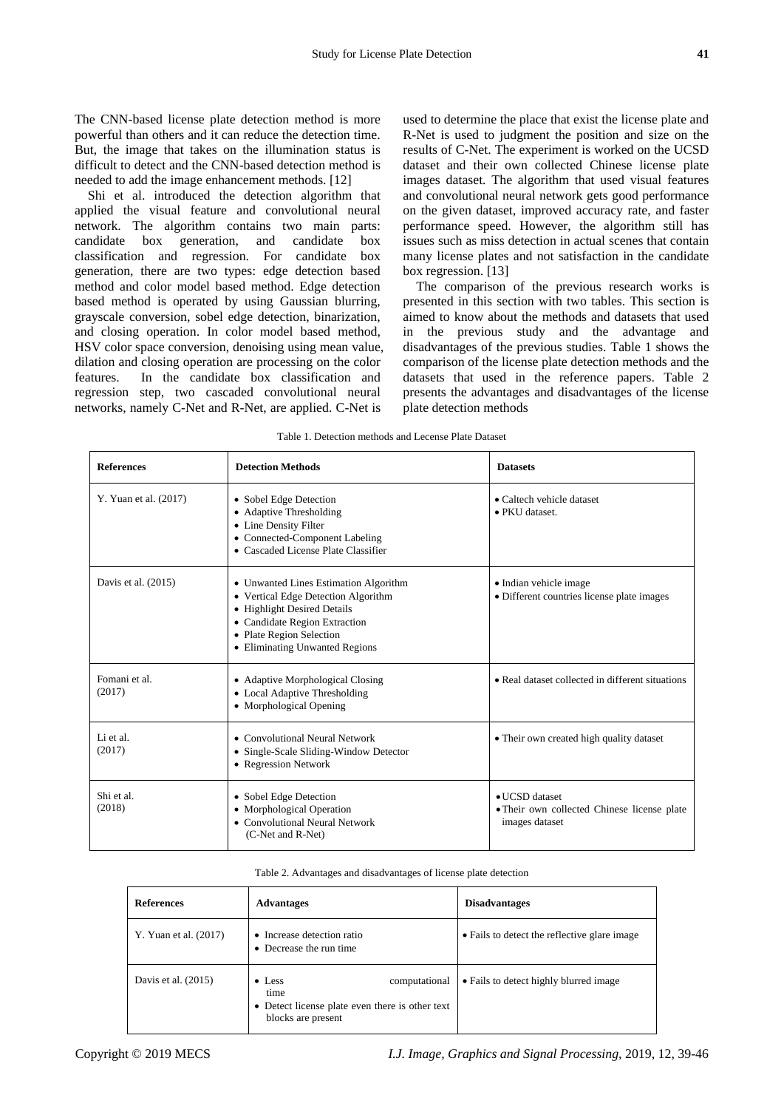The CNN-based license plate detection method is more powerful than others and it can reduce the detection time. But, the image that takes on the illumination status is difficult to detect and the CNN-based detection method is needed to add the image enhancement methods. [12]

Shi et al. introduced the detection algorithm that applied the visual feature and convolutional neural network. The algorithm contains two main parts: candidate box generation, and candidate box classification and regression. For candidate box generation, there are two types: edge detection based method and color model based method. Edge detection based method is operated by using Gaussian blurring, grayscale conversion, sobel edge detection, binarization, and closing operation. In color model based method, HSV color space conversion, denoising using mean value, dilation and closing operation are processing on the color features. In the candidate box classification and regression step, two cascaded convolutional neural networks, namely C-Net and R-Net, are applied. C-Net is

used to determine the place that exist the license plate and R-Net is used to judgment the position and size on the results of C-Net. The experiment is worked on the UCSD dataset and their own collected Chinese license plate images dataset. The algorithm that used visual features and convolutional neural network gets good performance on the given dataset, improved accuracy rate, and faster performance speed. However, the algorithm still has issues such as miss detection in actual scenes that contain many license plates and not satisfaction in the candidate box regression. [13]

The comparison of the previous research works is presented in this section with two tables. This section is aimed to know about the methods and datasets that used in the previous study and the advantage and disadvantages of the previous studies. Table 1 shows the comparison of the license plate detection methods and the datasets that used in the reference papers. Table 2 presents the advantages and disadvantages of the license plate detection methods

| <b>References</b>       | <b>Detection Methods</b>                                                                                                                                                                                   | <b>Datasets</b>                                                                 |
|-------------------------|------------------------------------------------------------------------------------------------------------------------------------------------------------------------------------------------------------|---------------------------------------------------------------------------------|
| Y. Yuan et al. (2017)   | • Sobel Edge Detection<br>• Adaptive Thresholding<br>• Line Density Filter<br>• Connected-Component Labeling<br>• Cascaded License Plate Classifier                                                        | • Caltech vehicle dataset<br>• PKU dataset.                                     |
| Davis et al. $(2015)$   | • Unwanted Lines Estimation Algorithm<br>• Vertical Edge Detection Algorithm<br>• Highlight Desired Details<br>• Candidate Region Extraction<br>• Plate Region Selection<br>• Eliminating Unwanted Regions | • Indian vehicle image<br>• Different countries license plate images            |
| Fomani et al.<br>(2017) | • Adaptive Morphological Closing<br>• Local Adaptive Thresholding<br>• Morphological Opening                                                                                                               | • Real dataset collected in different situations                                |
| Li et al.<br>(2017)     | • Convolutional Neural Network<br>• Single-Scale Sliding-Window Detector<br>• Regression Network                                                                                                           | • Their own created high quality dataset                                        |
| Shi et al.<br>(2018)    | • Sobel Edge Detection<br>• Morphological Operation<br>• Convolutional Neural Network<br>(C-Net and R-Net)                                                                                                 | • UCSD dataset<br>• Their own collected Chinese license plate<br>images dataset |

| Table 1. Detection methods and Lecense Plate Dataset |  |  |  |
|------------------------------------------------------|--|--|--|
|------------------------------------------------------|--|--|--|

| Table 2. Advantages and disadvantages of license plate detection |  |  |
|------------------------------------------------------------------|--|--|
|                                                                  |  |  |

| <b>References</b>     | <b>Advantages</b>                                                                                                | <b>Disadvantages</b>                         |
|-----------------------|------------------------------------------------------------------------------------------------------------------|----------------------------------------------|
| Y. Yuan et al. (2017) | • Increase detection ratio<br>• Decrease the run time                                                            | • Fails to detect the reflective glare image |
| Davis et al. $(2015)$ | computational<br>$\bullet$ Less<br>time<br>• Detect license plate even there is other text<br>blocks are present | • Fails to detect highly blurred image       |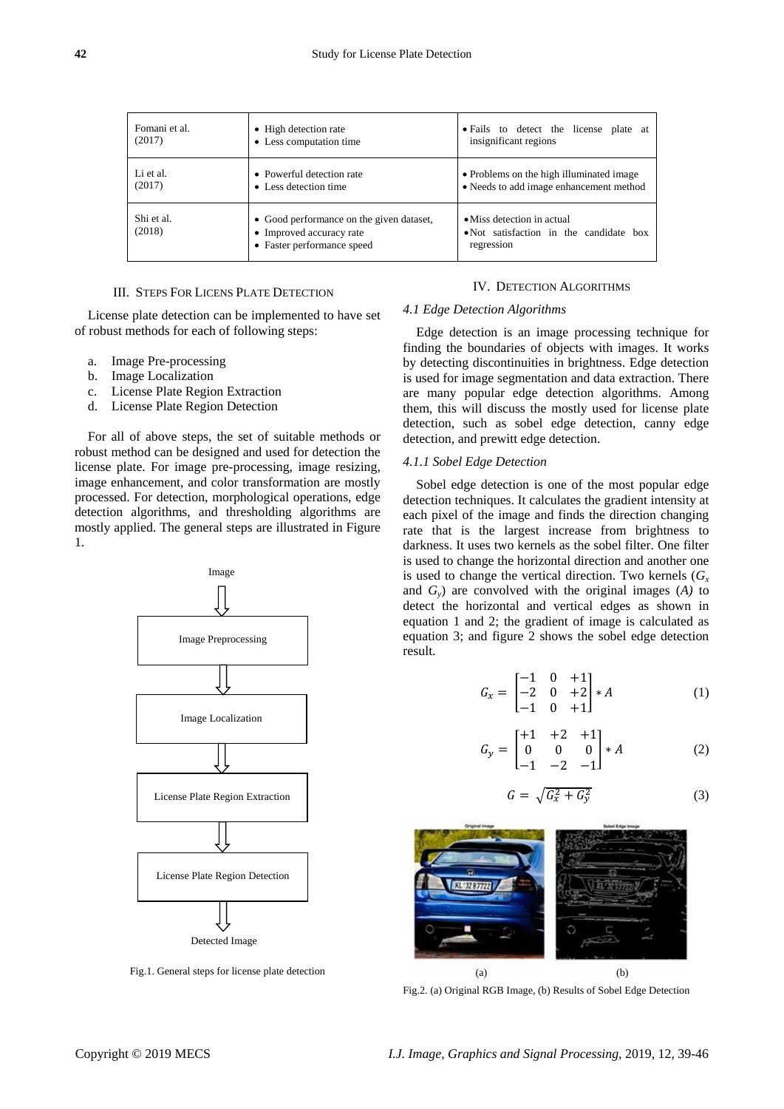| Fomani et al.        | • High detection rate                                                                              | • Fails to detect the license plate at                                              |
|----------------------|----------------------------------------------------------------------------------------------------|-------------------------------------------------------------------------------------|
| (2017)               | • Less computation time                                                                            | insignificant regions                                                               |
| Li et al.            | • Powerful detection rate                                                                          | • Problems on the high illuminated image                                            |
| (2017)               | • Less detection time                                                                              | • Needs to add image enhancement method                                             |
| Shi et al.<br>(2018) | • Good performance on the given dataset,<br>• Improved accuracy rate<br>• Faster performance speed | • Miss detection in actual<br>• Not satisfaction in the candidate box<br>regression |

#### III. STEPS FOR LICENS PLATE DETECTION

License plate detection can be implemented to have set of robust methods for each of following steps:

- a. Image Pre-processing
- b. Image Localization
- c. License Plate Region Extraction
- d. License Plate Region Detection

For all of above steps, the set of suitable methods or robust method can be designed and used for detection the license plate. For image pre-processing, image resizing, image enhancement, and color transformation are mostly processed. For detection, morphological operations, edge detection algorithms, and thresholding algorithms are mostly applied. The general steps are illustrated in Figure 1.



Fig.1. General steps for license plate detection

#### IV. DETECTION ALGORITHMS

## *4.1 Edge Detection Algorithms*

Edge detection is an image processing technique for finding the boundaries of objects with images. It works by detecting discontinuities in brightness. Edge detection is used for image segmentation and data extraction. There are many popular edge detection algorithms. Among them, this will discuss the mostly used for license plate detection, such as sobel edge detection, canny edge detection, and prewitt edge detection.

## *4.1.1 Sobel Edge Detection*

Sobel edge detection is one of the most popular edge detection techniques. It calculates the gradient intensity at each pixel of the image and finds the direction changing rate that is the largest increase from brightness to darkness. It uses two kernels as the sobel filter. One filter is used to change the horizontal direction and another one is used to change the vertical direction. Two kernels  $(G<sub>x</sub>)$ and  $G<sub>v</sub>$ ) are convolved with the original images (A) to detect the horizontal and vertical edges as shown in equation 1 and 2; the gradient of image is calculated as equation 3; and figure 2 shows the sobel edge detection result.

$$
G_x = \begin{bmatrix} -1 & 0 & +1 \\ -2 & 0 & +2 \\ -1 & 0 & +1 \end{bmatrix} * A \tag{1}
$$

$$
G_y = \begin{bmatrix} +1 & +2 & +1 \\ 0 & 0 & 0 \\ -1 & -2 & -1 \end{bmatrix} * A \tag{2}
$$

$$
G = \sqrt{G_x^2 + G_y^2} \tag{3}
$$



Fig.2. (a) Original RGB Image, (b) Results of Sobel Edge Detection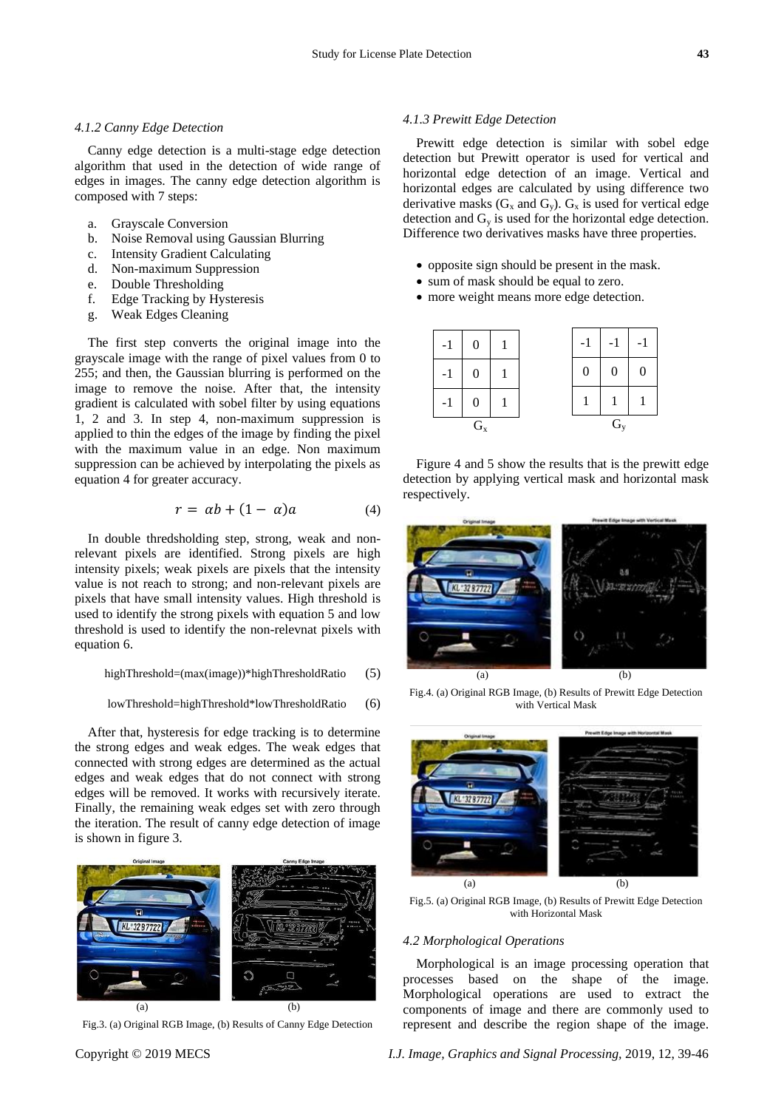#### *4.1.2 Canny Edge Detection*

Canny edge detection is a multi-stage edge detection algorithm that used in the detection of wide range of edges in images. The canny edge detection algorithm is composed with 7 steps:

- a. Grayscale Conversion
- b. Noise Removal using Gaussian Blurring
- c. Intensity Gradient Calculating
- d. Non-maximum Suppression
- e. Double Thresholding
- f. Edge Tracking by Hysteresis
- g. Weak Edges Cleaning

The first step converts the original image into the grayscale image with the range of pixel values from 0 to 255; and then, the Gaussian blurring is performed on the image to remove the noise. After that, the intensity gradient is calculated with sobel filter by using equations 1, 2 and 3. In step 4, non-maximum suppression is applied to thin the edges of the image by finding the pixel with the maximum value in an edge. Non maximum suppression can be achieved by interpolating the pixels as equation 4 for greater accuracy.

$$
r = \alpha b + (1 - \alpha)a \tag{4}
$$

In double thredsholding step, strong, weak and nonrelevant pixels are identified. Strong pixels are high intensity pixels; weak pixels are pixels that the intensity value is not reach to strong; and non-relevant pixels are pixels that have small intensity values. High threshold is used to identify the strong pixels with equation 5 and low threshold is used to identify the non-relevnat pixels with equation 6.

highThreshold=(max(image))\*highThresholdRatio (5)

## lowThreshold=highThreshold\*lowThresholdRatio (6)

After that, hysteresis for edge tracking is to determine the strong edges and weak edges. The weak edges that connected with strong edges are determined as the actual edges and weak edges that do not connect with strong edges will be removed. It works with recursively iterate. Finally, the remaining weak edges set with zero through the iteration. The result of canny edge detection of image is shown in figure 3.



Fig.3. (a) Original RGB Image, (b) Results of Canny Edge Detection

#### *4.1.3 Prewitt Edge Detection*

Prewitt edge detection is similar with sobel edge detection but Prewitt operator is used for vertical and horizontal edge detection of an image. Vertical and horizontal edges are calculated by using difference two derivative masks  $(G_x \text{ and } G_y)$ .  $G_x$  is used for vertical edge detection and  $G_v$  is used for the horizontal edge detection. Difference two derivatives masks have three properties.

- opposite sign should be present in the mask.
- sum of mask should be equal to zero.
- more weight means more edge detection.



Figure 4 and 5 show the results that is the prewitt edge detection by applying vertical mask and horizontal mask respectively.



Fig.4. (a) Original RGB Image, (b) Results of Prewitt Edge Detection with Vertical Mask



Fig.5. (a) Original RGB Image, (b) Results of Prewitt Edge Detection with Horizontal Mask

## *4.2 Morphological Operations*

Morphological is an image processing operation that processes based on the shape of the image. Morphological operations are used to extract the components of image and there are commonly used to represent and describe the region shape of the image.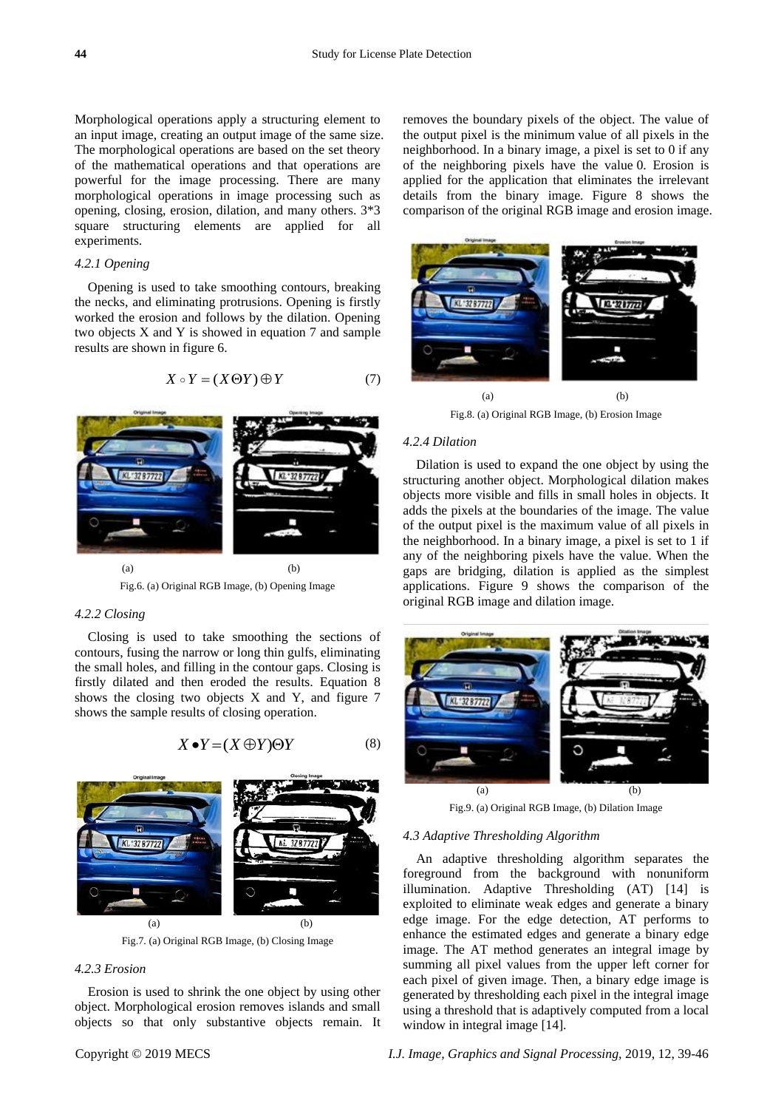Morphological operations apply a structuring element to an input image, creating an output image of the same size. The morphological operations are based on the set theory of the mathematical operations and that operations are powerful for the image processing. There are many morphological operations in image processing such as opening, closing, erosion, dilation, and many others. 3\*3 square structuring elements are applied for all experiments.

## *4.2.1 Opening*

Opening is used to take smoothing contours, breaking the necks, and eliminating protrusions. Opening is firstly worked the erosion and follows by the dilation. Opening two objects X and Y is showed in equation 7 and sample results are shown in figure 6.

$$
X \circ Y = (X \Theta Y) \oplus Y \tag{7}
$$



Fig.6. (a) Original RGB Image, (b) Opening Image

#### *4.2.2 Closing*

Closing is used to take smoothing the sections of contours, fusing the narrow or long thin gulfs, eliminating the small holes, and filling in the contour gaps. Closing is firstly dilated and then eroded the results. Equation 8 shows the closing two objects X and Y, and figure 7 shows the sample results of closing operation.

$$
X \bullet Y = (X \oplus Y) \Theta Y \tag{8}
$$



Fig.7. (a) Original RGB Image, (b) Closing Image

## *4.2.3 Erosion*

Erosion is used to shrink the one object by using other object. Morphological erosion removes islands and small objects so that only substantive objects remain. It removes the boundary pixels of the object. The value of the output pixel is the minimum value of all pixels in the neighborhood. In a binary image, a pixel is set to 0 if any of the neighboring pixels have the value 0. Erosion is applied for the application that eliminates the irrelevant details from the binary image. Figure 8 shows the comparison of the original RGB image and erosion image.



Fig.8. (a) Original RGB Image, (b) Erosion Image

#### *4.2.4 Dilation*

Dilation is used to expand the one object by using the structuring another object. Morphological dilation makes objects more visible and fills in small holes in objects. It adds the pixels at the boundaries of the image. The value of the output pixel is the maximum value of all pixels in the neighborhood. In a binary image, a pixel is set to 1 if any of the neighboring pixels have the value. When the gaps are bridging, dilation is applied as the simplest applications. Figure 9 shows the comparison of the original RGB image and dilation image.



Fig.9. (a) Original RGB Image, (b) Dilation Image

#### *4.3 Adaptive Thresholding Algorithm*

An adaptive thresholding algorithm separates the foreground from the background with nonuniform illumination. Adaptive Thresholding (AT) [14] is exploited to eliminate weak edges and generate a binary edge image. For the edge detection, AT performs to enhance the estimated edges and generate a binary edge image. The AT method generates an integral image by summing all pixel values from the upper left corner for each pixel of given image. Then, a binary edge image is generated by thresholding each pixel in the integral image using a threshold that is adaptively computed from a local window in integral image [14].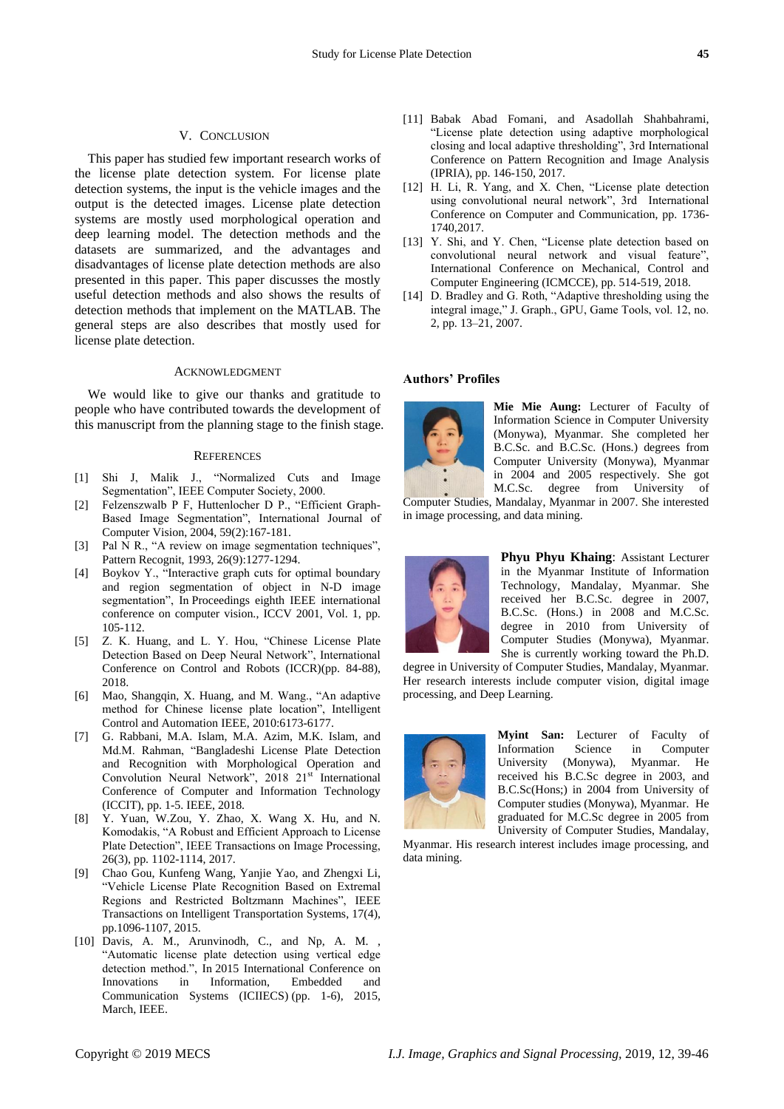#### V. CONCLUSION

This paper has studied few important research works of the license plate detection system. For license plate detection systems, the input is the vehicle images and the output is the detected images. License plate detection systems are mostly used morphological operation and deep learning model. The detection methods and the datasets are summarized, and the advantages and disadvantages of license plate detection methods are also presented in this paper. This paper discusses the mostly useful detection methods and also shows the results of detection methods that implement on the MATLAB. The general steps are also describes that mostly used for license plate detection.

#### ACKNOWLEDGMENT

We would like to give our thanks and gratitude to people who have contributed towards the development of this manuscript from the planning stage to the finish stage.

#### **REFERENCES**

- [1] Shi J, Malik J., "Normalized Cuts and Image Segmentation", IEEE Computer Society, 2000.
- [2] Felzenszwalb P F, Huttenlocher D P., "Efficient Graph-Based Image Segmentation", International Journal of Computer Vision, 2004, 59(2):167-181.
- [3] Pal N R., "A review on image segmentation techniques", Pattern Recognit, 1993, 26(9):1277-1294.
- [4] Boykov Y., "Interactive graph cuts for optimal boundary and region segmentation of object in N-D image segmentation", In Proceedings eighth IEEE international conference on computer vision., ICCV 2001, Vol. 1, pp. 105-112.
- [5] Z. K. Huang, and L. Y. Hou, "Chinese License Plate Detection Based on Deep Neural Network", International Conference on Control and Robots (ICCR)(pp. 84-88), 2018.
- [6] Mao, Shangqin, X. Huang, and M. Wang., "An adaptive method for Chinese license plate location", Intelligent Control and Automation IEEE, 2010:6173-6177.
- [7] G. Rabbani, M.A. Islam, M.A. Azim, M.K. Islam, and Md.M. Rahman, "Bangladeshi License Plate Detection and Recognition with Morphological Operation and Convolution Neural Network",  $2018$   $21<sup>st</sup>$  International Conference of Computer and Information Technology (ICCIT), pp. 1-5. IEEE, 2018.
- [8] Y. Yuan, W.Zou, Y. Zhao, X. Wang X. Hu, and N. Komodakis, "A Robust and Efficient Approach to License Plate Detection", IEEE Transactions on Image Processing, 26(3), pp. 1102-1114, 2017.
- [9] Chao Gou, Kunfeng Wang, Yanjie Yao, and Zhengxi Li, "Vehicle License Plate Recognition Based on Extremal Regions and Restricted Boltzmann Machines", IEEE Transactions on Intelligent Transportation Systems, 17(4), pp.1096-1107, 2015.
- [10] Davis, A. M., Arunvinodh, C., and Np, A. M. , "Automatic license plate detection using vertical edge detection method.", In 2015 International Conference on Innovations in Information, Embedded and Communication Systems (ICIIECS) (pp. 1-6), 2015, March, IEEE.
- [11] Babak Abad Fomani, and Asadollah Shahbahrami, "License plate detection using adaptive morphological closing and local adaptive thresholding", 3rd International Conference on Pattern Recognition and Image Analysis (IPRIA), pp. 146-150, 2017.
- [12] H. Li, R. Yang, and X. Chen, "License plate detection using convolutional neural network", 3rd International Conference on Computer and Communication, pp. 1736- 1740,2017.
- [13] Y. Shi, and Y. Chen, "License plate detection based on convolutional neural network and visual feature", International Conference on Mechanical, Control and Computer Engineering (ICMCCE), pp. 514-519, 2018.
- [14] D. Bradley and G. Roth, "Adaptive thresholding using the integral image," J. Graph., GPU, Game Tools, vol. 12, no. 2, pp. 13–21, 2007.

#### **Authors' Profiles**



**Mie Mie Aung:** Lecturer of Faculty of Information Science in Computer University (Monywa), Myanmar. She completed her B.C.Sc. and B.C.Sc. (Hons.) degrees from Computer University (Monywa), Myanmar in 2004 and 2005 respectively. She got M.C.Sc. degree from University of

Computer Studies, Mandalay, Myanmar in 2007. She interested in image processing, and data mining.



**Phyu Phyu Khaing**: Assistant Lecturer in the Myanmar Institute of Information Technology, Mandalay, Myanmar. She received her B.C.Sc. degree in 2007, B.C.Sc. (Hons.) in 2008 and M.C.Sc. degree in 2010 from University of Computer Studies (Monywa), Myanmar. She is currently working toward the Ph.D.

degree in University of Computer Studies, Mandalay, Myanmar. Her research interests include computer vision, digital image processing, and Deep Learning.



**Myint San:** Lecturer of Faculty of Information Science in Computer University (Monywa), Myanmar. He received his B.C.Sc degree in 2003, and B.C.Sc(Hons;) in 2004 from University of Computer studies (Monywa), Myanmar. He graduated for M.C.Sc degree in 2005 from University of Computer Studies, Mandalay,

Myanmar. His research interest includes image processing, and data mining.